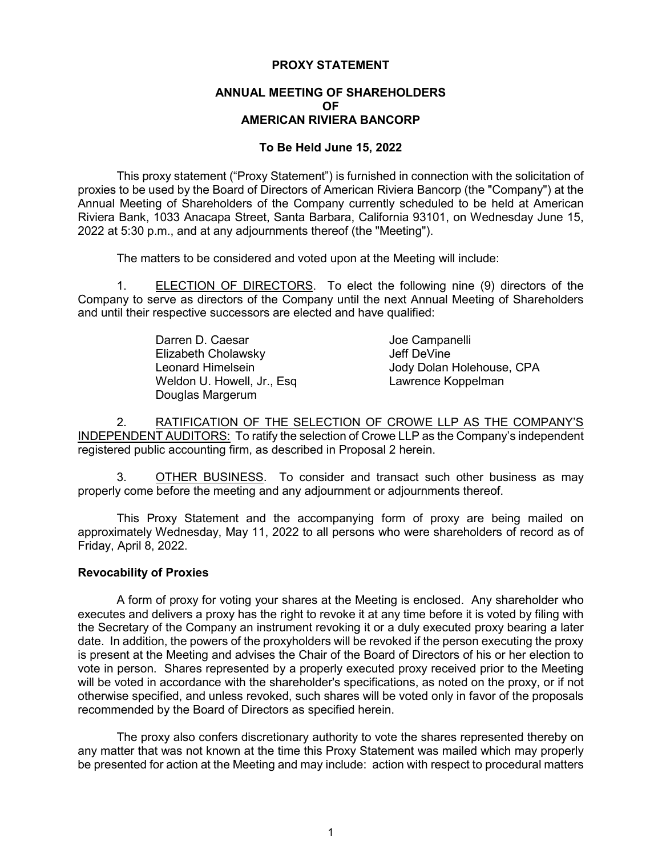## **PROXY STATEMENT**

# **ANNUAL MEETING OF SHAREHOLDERS OF AMERICAN RIVIERA BANCORP**

# **To Be Held June 15, 2022**

This proxy statement ("Proxy Statement") is furnished in connection with the solicitation of proxies to be used by the Board of Directors of American Riviera Bancorp (the "Company") at the Annual Meeting of Shareholders of the Company currently scheduled to be held at American Riviera Bank, 1033 Anacapa Street, Santa Barbara, California 93101, on Wednesday June 15, 2022 at 5:30 p.m., and at any adjournments thereof (the "Meeting").

The matters to be considered and voted upon at the Meeting will include:

1. ELECTION OF DIRECTORS. To elect the following nine (9) directors of the Company to serve as directors of the Company until the next Annual Meeting of Shareholders and until their respective successors are elected and have qualified:

| Darren D. Caesar            | Joe Campanelli            |
|-----------------------------|---------------------------|
| Elizabeth Cholawsky         | Jeff DeVine               |
| Leonard Himelsein           | Jody Dolan Holehouse, CPA |
| Weldon U. Howell, Jr., Esq. | Lawrence Koppelman        |
| Douglas Margerum            |                           |

2. RATIFICATION OF THE SELECTION OF CROWE LLP AS THE COMPANY'S INDEPENDENT AUDITORS: To ratify the selection of Crowe LLP as the Company's independent registered public accounting firm, as described in Proposal 2 herein.

3. OTHER BUSINESS. To consider and transact such other business as may properly come before the meeting and any adjournment or adjournments thereof.

This Proxy Statement and the accompanying form of proxy are being mailed on approximately Wednesday, May 11, 2022 to all persons who were shareholders of record as of Friday, April 8, 2022.

## **Revocability of Proxies**

A form of proxy for voting your shares at the Meeting is enclosed. Any shareholder who executes and delivers a proxy has the right to revoke it at any time before it is voted by filing with the Secretary of the Company an instrument revoking it or a duly executed proxy bearing a later date. In addition, the powers of the proxyholders will be revoked if the person executing the proxy is present at the Meeting and advises the Chair of the Board of Directors of his or her election to vote in person. Shares represented by a properly executed proxy received prior to the Meeting will be voted in accordance with the shareholder's specifications, as noted on the proxy, or if not otherwise specified, and unless revoked, such shares will be voted only in favor of the proposals recommended by the Board of Directors as specified herein.

The proxy also confers discretionary authority to vote the shares represented thereby on any matter that was not known at the time this Proxy Statement was mailed which may properly be presented for action at the Meeting and may include: action with respect to procedural matters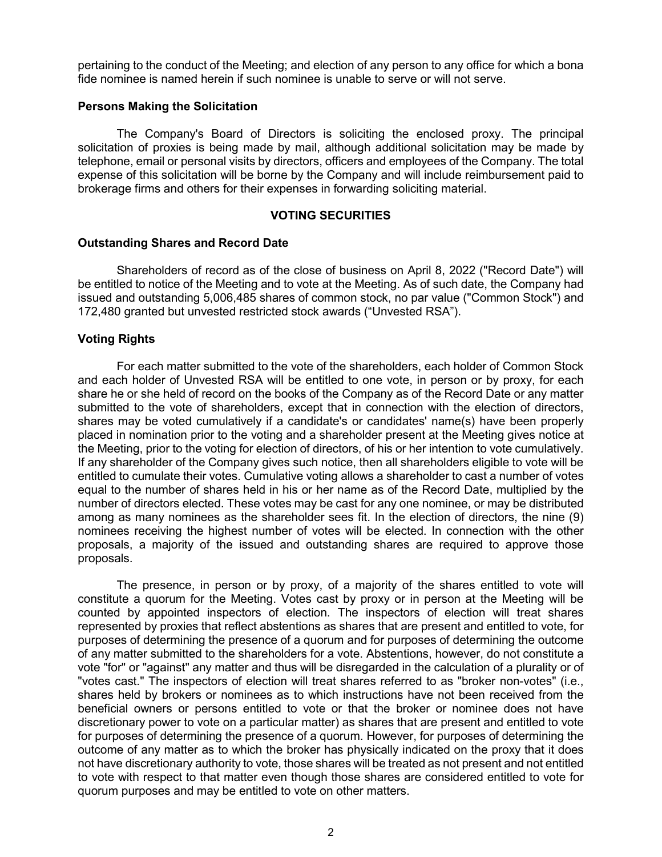pertaining to the conduct of the Meeting; and election of any person to any office for which a bona fide nominee is named herein if such nominee is unable to serve or will not serve.

### **Persons Making the Solicitation**

The Company's Board of Directors is soliciting the enclosed proxy. The principal solicitation of proxies is being made by mail, although additional solicitation may be made by telephone, email or personal visits by directors, officers and employees of the Company. The total expense of this solicitation will be borne by the Company and will include reimbursement paid to brokerage firms and others for their expenses in forwarding soliciting material.

### **VOTING SECURITIES**

### **Outstanding Shares and Record Date**

Shareholders of record as of the close of business on April 8, 2022 ("Record Date") will be entitled to notice of the Meeting and to vote at the Meeting. As of such date, the Company had issued and outstanding 5,006,485 shares of common stock, no par value ("Common Stock") and 172,480 granted but unvested restricted stock awards ("Unvested RSA").

## **Voting Rights**

For each matter submitted to the vote of the shareholders, each holder of Common Stock and each holder of Unvested RSA will be entitled to one vote, in person or by proxy, for each share he or she held of record on the books of the Company as of the Record Date or any matter submitted to the vote of shareholders, except that in connection with the election of directors, shares may be voted cumulatively if a candidate's or candidates' name(s) have been properly placed in nomination prior to the voting and a shareholder present at the Meeting gives notice at the Meeting, prior to the voting for election of directors, of his or her intention to vote cumulatively. If any shareholder of the Company gives such notice, then all shareholders eligible to vote will be entitled to cumulate their votes. Cumulative voting allows a shareholder to cast a number of votes equal to the number of shares held in his or her name as of the Record Date, multiplied by the number of directors elected. These votes may be cast for any one nominee, or may be distributed among as many nominees as the shareholder sees fit. In the election of directors, the nine (9) nominees receiving the highest number of votes will be elected. In connection with the other proposals, a majority of the issued and outstanding shares are required to approve those proposals.

The presence, in person or by proxy, of a majority of the shares entitled to vote will constitute a quorum for the Meeting. Votes cast by proxy or in person at the Meeting will be counted by appointed inspectors of election. The inspectors of election will treat shares represented by proxies that reflect abstentions as shares that are present and entitled to vote, for purposes of determining the presence of a quorum and for purposes of determining the outcome of any matter submitted to the shareholders for a vote. Abstentions, however, do not constitute a vote "for" or "against" any matter and thus will be disregarded in the calculation of a plurality or of "votes cast." The inspectors of election will treat shares referred to as "broker non-votes" (i.e., shares held by brokers or nominees as to which instructions have not been received from the beneficial owners or persons entitled to vote or that the broker or nominee does not have discretionary power to vote on a particular matter) as shares that are present and entitled to vote for purposes of determining the presence of a quorum. However, for purposes of determining the outcome of any matter as to which the broker has physically indicated on the proxy that it does not have discretionary authority to vote, those shares will be treated as not present and not entitled to vote with respect to that matter even though those shares are considered entitled to vote for quorum purposes and may be entitled to vote on other matters.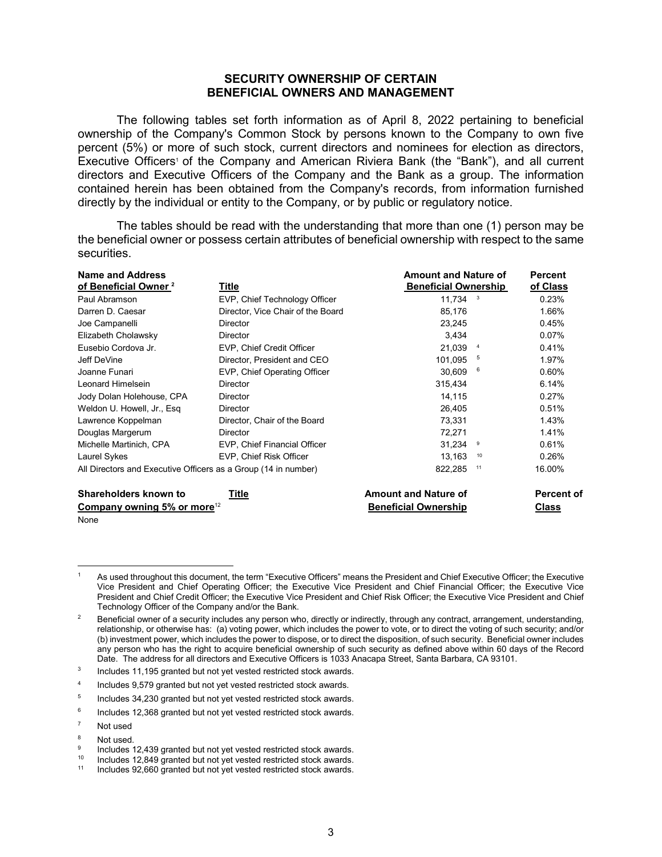# **SECURITY OWNERSHIP OF CERTAIN BENEFICIAL OWNERS AND MANAGEMENT**

The following tables set forth information as of April 8, 2022 pertaining to beneficial ownership of the Company's Common Stock by persons known to the Company to own five percent (5%) or more of such stock, current directors and nominees for election as directors, Executive Officers<sup>1</sup> of the Company and American Riviera Bank (the "Bank"), and all current directors and Executive Officers of the Company and the Bank as a group. The information contained herein has been obtained from the Company's records, from information furnished directly by the individual or entity to the Company, or by public or regulatory notice.

The tables should be read with the understanding that more than one (1) person may be the beneficial owner or possess certain attributes of beneficial ownership with respect to the same securities.

| <b>Name and Address</b><br>of Beneficial Owner <sup>2</sup>    | Title                             | <b>Amount and Nature of</b><br><b>Beneficial Ownership</b> |    | <b>Percent</b><br>of Class |
|----------------------------------------------------------------|-----------------------------------|------------------------------------------------------------|----|----------------------------|
| Paul Abramson                                                  | EVP, Chief Technology Officer     | $11,734$ <sup>3</sup>                                      |    | 0.23%                      |
| Darren D. Caesar                                               | Director, Vice Chair of the Board | 85,176                                                     |    | 1.66%                      |
| Joe Campanelli                                                 | Director                          | 23,245                                                     |    | 0.45%                      |
| Elizabeth Cholawsky                                            | <b>Director</b>                   | 3,434                                                      |    | $0.07\%$                   |
| Eusebio Cordova Jr.                                            | EVP, Chief Credit Officer         | 21.039                                                     |    | 0.41%                      |
| Jeff DeVine                                                    | Director, President and CEO       | 101.095                                                    | 5  | 1.97%                      |
| Joanne Funari                                                  | EVP, Chief Operating Officer      | 30,609                                                     | 6  | 0.60%                      |
| Leonard Himelsein                                              | Director                          | 315,434                                                    |    | 6.14%                      |
| Jody Dolan Holehouse, CPA                                      | <b>Director</b>                   | 14,115                                                     |    | 0.27%                      |
| Weldon U. Howell, Jr., Esg.                                    | Director                          | 26,405                                                     |    | 0.51%                      |
| Lawrence Koppelman                                             | Director, Chair of the Board      | 73,331                                                     |    | 1.43%                      |
| Douglas Margerum                                               | Director                          | 72,271                                                     |    | 1.41%                      |
| Michelle Martinich, CPA                                        | EVP, Chief Financial Officer      | 31.234                                                     | 9  | 0.61%                      |
| Laurel Sykes                                                   | EVP, Chief Risk Officer           | 13,163                                                     | 10 | 0.26%                      |
| All Directors and Executive Officers as a Group (14 in number) |                                   | 822,285                                                    | 11 | 16.00%                     |
| Sharaholdars known to                                          | Title                             | Amount and Nature of                                       |    | <b>Darcont</b>             |

| Shareholders known to<br>Title | <b>Amount and Nature of</b> | <b>Percent of</b> |  |  |
|--------------------------------|-----------------------------|-------------------|--|--|
| Company owning 5% or more $12$ | <b>Beneficial Ownership</b> | Class             |  |  |
| None                           |                             |                   |  |  |

<sup>3</sup> Includes 11,195 granted but not yet vested restricted stock awards.

Includes 9,579 granted but not yet vested restricted stock awards.

<sup>5</sup> Includes 34,230 granted but not yet vested restricted stock awards.

<sup>6</sup> Includes 12,368 granted but not yet vested restricted stock awards.

- <sup>7</sup> Not used
- $8$  Not used.

As used throughout this document, the term "Executive Officers" means the President and Chief Executive Officer; the Executive Vice President and Chief Operating Officer; the Executive Vice President and Chief Financial Officer; the Executive Vice President and Chief Credit Officer; the Executive Vice President and Chief Risk Officer; the Executive Vice President and Chief Technology Officer of the Company and/or the Bank.

<sup>2</sup> Beneficial owner of a security includes any person who, directly or indirectly, through any contract, arrangement, understanding, relationship, or otherwise has: (a) voting power, which includes the power to vote, or to direct the voting of such security; and/or (b) investment power, which includes the power to dispose, or to direct the disposition, of such security. Beneficial owner includes any person who has the right to acquire beneficial ownership of such security as defined above within 60 days of the Record Date. The address for all directors and Executive Officers is 1033 Anacapa Street, Santa Barbara, CA 93101.

 $\frac{9}{10}$  Includes 12,439 granted but not yet vested restricted stock awards.

<sup>&</sup>lt;sup>10</sup> Includes 12,849 granted but not yet vested restricted stock awards.

<sup>11</sup> Includes 92,660 granted but not yet vested restricted stock awards.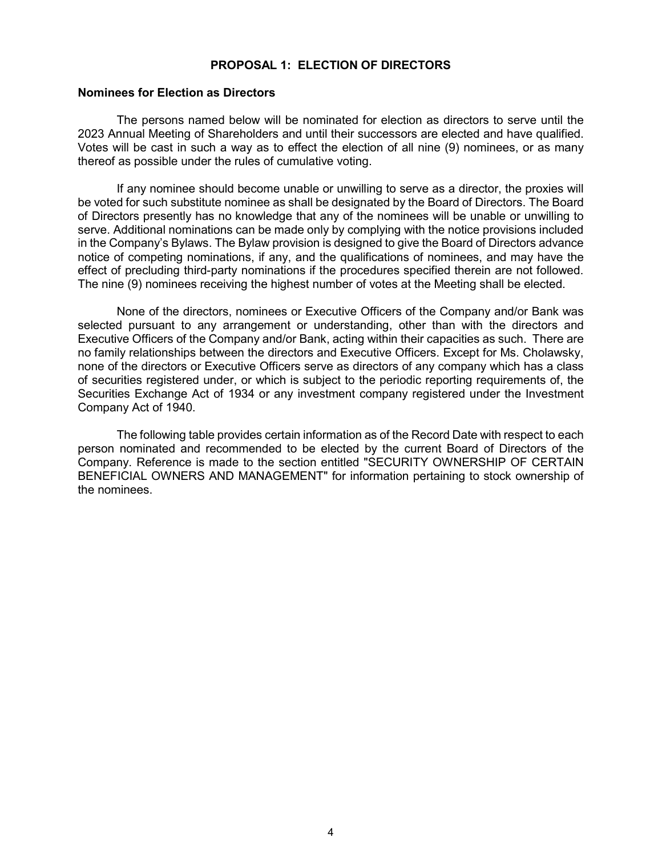## **PROPOSAL 1: ELECTION OF DIRECTORS**

#### **Nominees for Election as Directors**

The persons named below will be nominated for election as directors to serve until the 2023 Annual Meeting of Shareholders and until their successors are elected and have qualified. Votes will be cast in such a way as to effect the election of all nine (9) nominees, or as many thereof as possible under the rules of cumulative voting.

If any nominee should become unable or unwilling to serve as a director, the proxies will be voted for such substitute nominee as shall be designated by the Board of Directors. The Board of Directors presently has no knowledge that any of the nominees will be unable or unwilling to serve. Additional nominations can be made only by complying with the notice provisions included in the Company's Bylaws. The Bylaw provision is designed to give the Board of Directors advance notice of competing nominations, if any, and the qualifications of nominees, and may have the effect of precluding third-party nominations if the procedures specified therein are not followed. The nine (9) nominees receiving the highest number of votes at the Meeting shall be elected.

None of the directors, nominees or Executive Officers of the Company and/or Bank was selected pursuant to any arrangement or understanding, other than with the directors and Executive Officers of the Company and/or Bank, acting within their capacities as such. There are no family relationships between the directors and Executive Officers. Except for Ms. Cholawsky, none of the directors or Executive Officers serve as directors of any company which has a class of securities registered under, or which is subject to the periodic reporting requirements of, the Securities Exchange Act of 1934 or any investment company registered under the Investment Company Act of 1940.

The following table provides certain information as of the Record Date with respect to each person nominated and recommended to be elected by the current Board of Directors of the Company. Reference is made to the section entitled "SECURITY OWNERSHIP OF CERTAIN BENEFICIAL OWNERS AND MANAGEMENT" for information pertaining to stock ownership of the nominees.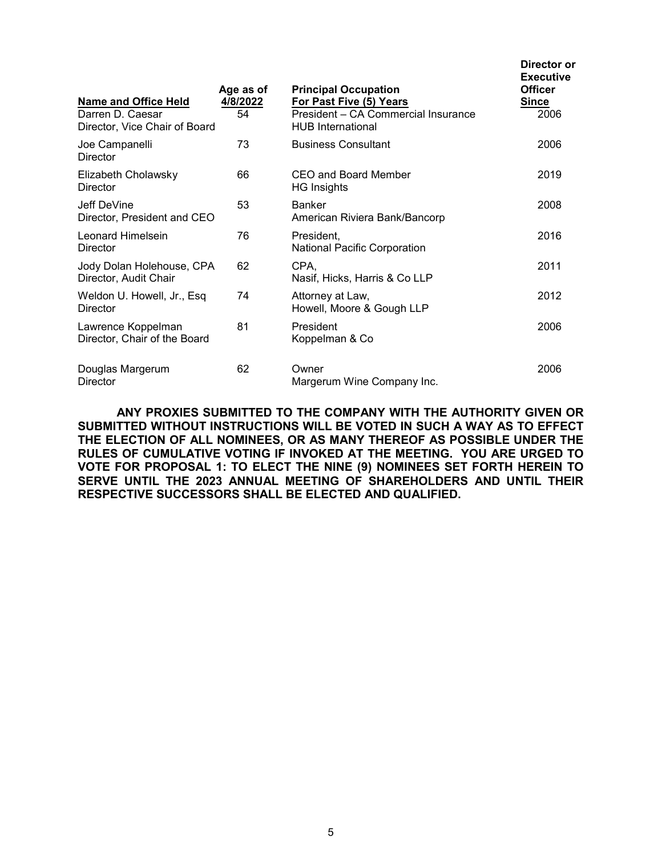| <b>Name and Office Held</b>                        | Age as of<br>4/8/2022 | <b>Principal Occupation</b><br>For Past Five (5) Years          | <b>Executive</b><br><b>Officer</b><br><b>Since</b> |
|----------------------------------------------------|-----------------------|-----------------------------------------------------------------|----------------------------------------------------|
| Darren D. Caesar<br>Director, Vice Chair of Board  | 54                    | President - CA Commercial Insurance<br><b>HUB</b> International | 2006                                               |
| Joe Campanelli<br><b>Director</b>                  | 73                    | <b>Business Consultant</b>                                      | 2006                                               |
| Elizabeth Cholawsky<br>Director                    | 66                    | CEO and Board Member<br><b>HG Insights</b>                      | 2019                                               |
| Jeff DeVine<br>Director, President and CEO         | 53                    | <b>Banker</b><br>American Riviera Bank/Bancorp                  | 2008                                               |
| Leonard Himelsein<br>Director                      | 76                    | President,<br><b>National Pacific Corporation</b>               | 2016                                               |
| Jody Dolan Holehouse, CPA<br>Director, Audit Chair | 62                    | CPA,<br>Nasif, Hicks, Harris & Co LLP                           | 2011                                               |
| Weldon U. Howell, Jr., Esq<br>Director             | 74                    | Attorney at Law,<br>Howell, Moore & Gough LLP                   | 2012                                               |
| Lawrence Koppelman<br>Director, Chair of the Board | 81                    | President<br>Koppelman & Co                                     | 2006                                               |
| Douglas Margerum<br><b>Director</b>                | 62                    | Owner<br>Margerum Wine Company Inc.                             | 2006                                               |

**Director or**

**ANY PROXIES SUBMITTED TO THE COMPANY WITH THE AUTHORITY GIVEN OR SUBMITTED WITHOUT INSTRUCTIONS WILL BE VOTED IN SUCH A WAY AS TO EFFECT THE ELECTION OF ALL NOMINEES, OR AS MANY THEREOF AS POSSIBLE UNDER THE RULES OF CUMULATIVE VOTING IF INVOKED AT THE MEETING. YOU ARE URGED TO VOTE FOR PROPOSAL 1: TO ELECT THE NINE (9) NOMINEES SET FORTH HEREIN TO SERVE UNTIL THE 2023 ANNUAL MEETING OF SHAREHOLDERS AND UNTIL THEIR RESPECTIVE SUCCESSORS SHALL BE ELECTED AND QUALIFIED.**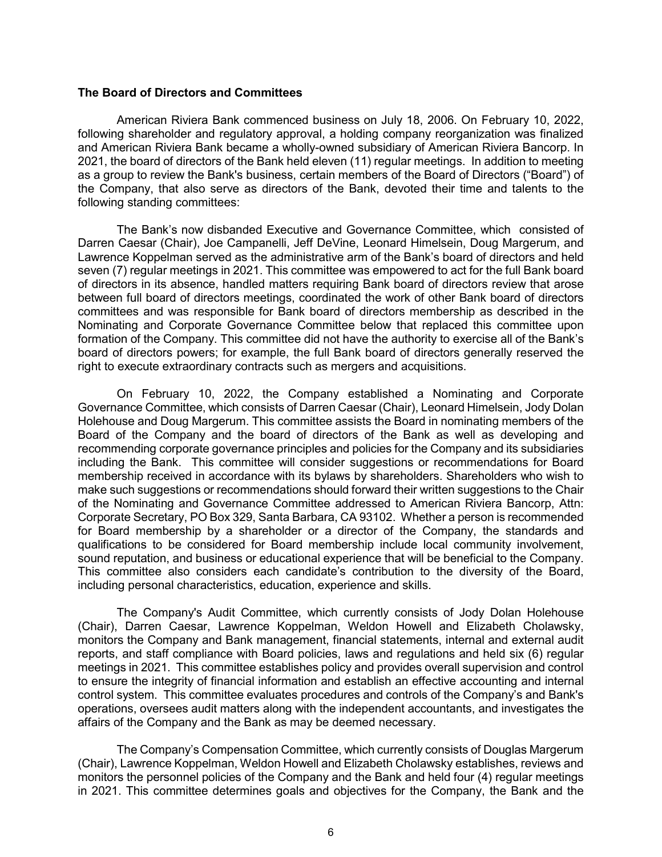### **The Board of Directors and Committees**

American Riviera Bank commenced business on July 18, 2006. On February 10, 2022, following shareholder and regulatory approval, a holding company reorganization was finalized and American Riviera Bank became a wholly-owned subsidiary of American Riviera Bancorp. In 2021, the board of directors of the Bank held eleven (11) regular meetings. In addition to meeting as a group to review the Bank's business, certain members of the Board of Directors ("Board") of the Company, that also serve as directors of the Bank, devoted their time and talents to the following standing committees:

The Bank's now disbanded Executive and Governance Committee, which consisted of Darren Caesar (Chair), Joe Campanelli, Jeff DeVine, Leonard Himelsein, Doug Margerum, and Lawrence Koppelman served as the administrative arm of the Bank's board of directors and held seven (7) regular meetings in 2021. This committee was empowered to act for the full Bank board of directors in its absence, handled matters requiring Bank board of directors review that arose between full board of directors meetings, coordinated the work of other Bank board of directors committees and was responsible for Bank board of directors membership as described in the Nominating and Corporate Governance Committee below that replaced this committee upon formation of the Company. This committee did not have the authority to exercise all of the Bank's board of directors powers; for example, the full Bank board of directors generally reserved the right to execute extraordinary contracts such as mergers and acquisitions.

On February 10, 2022, the Company established a Nominating and Corporate Governance Committee, which consists of Darren Caesar (Chair), Leonard Himelsein, Jody Dolan Holehouse and Doug Margerum. This committee assists the Board in nominating members of the Board of the Company and the board of directors of the Bank as well as developing and recommending corporate governance principles and policies for the Company and its subsidiaries including the Bank. This committee will consider suggestions or recommendations for Board membership received in accordance with its bylaws by shareholders. Shareholders who wish to make such suggestions or recommendations should forward their written suggestions to the Chair of the Nominating and Governance Committee addressed to American Riviera Bancorp, Attn: Corporate Secretary, PO Box 329, Santa Barbara, CA 93102. Whether a person is recommended for Board membership by a shareholder or a director of the Company, the standards and qualifications to be considered for Board membership include local community involvement, sound reputation, and business or educational experience that will be beneficial to the Company. This committee also considers each candidate's contribution to the diversity of the Board, including personal characteristics, education, experience and skills.

The Company's Audit Committee, which currently consists of Jody Dolan Holehouse (Chair), Darren Caesar, Lawrence Koppelman, Weldon Howell and Elizabeth Cholawsky, monitors the Company and Bank management, financial statements, internal and external audit reports, and staff compliance with Board policies, laws and regulations and held six (6) regular meetings in 2021. This committee establishes policy and provides overall supervision and control to ensure the integrity of financial information and establish an effective accounting and internal control system. This committee evaluates procedures and controls of the Company's and Bank's operations, oversees audit matters along with the independent accountants, and investigates the affairs of the Company and the Bank as may be deemed necessary.

The Company's Compensation Committee, which currently consists of Douglas Margerum (Chair), Lawrence Koppelman, Weldon Howell and Elizabeth Cholawsky establishes, reviews and monitors the personnel policies of the Company and the Bank and held four (4) regular meetings in 2021. This committee determines goals and objectives for the Company, the Bank and the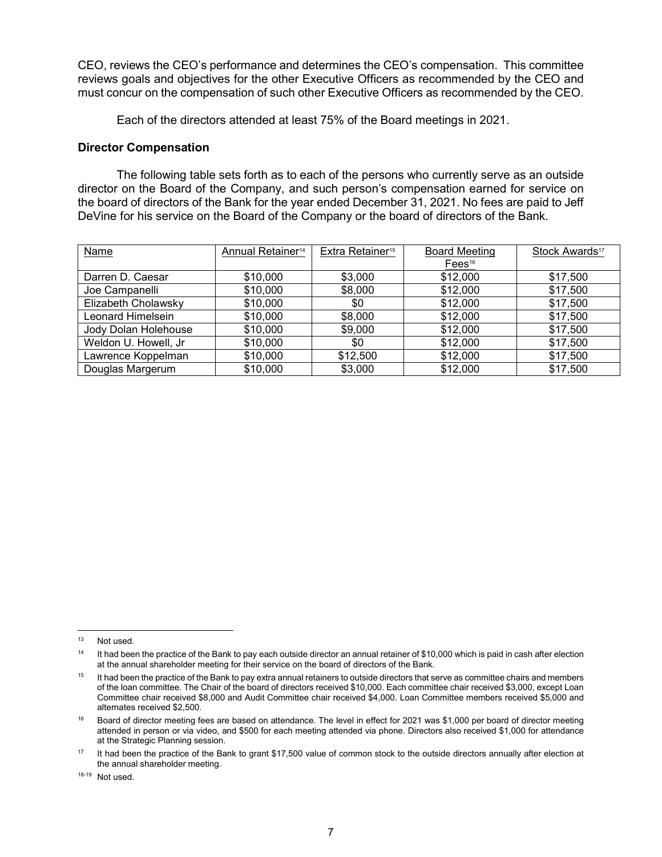CEO, reviews the CEO's performance and determines the CEO's compensation. This committee reviews goals and objectives for the other Executive Officers as recommended by the CEO and must concur on the compensation of such other Executive Officers as recommended by the CEO.

Each of the directors attended at least 75% of the Board meetings in 2021.

# **Director Compensation**

The following table sets forth as to each of the persons who currently serve as an outside director on the Board of the Company, and such person's compensation earned for service on the board of directors of the Bank for the year ended December 31, 2021. No fees are paid to Jeff DeVine for his service on the Board of the Company or the board of directors of the Bank.

| Name                 | Annual Retainer <sup>14</sup> | Extra Retainer <sup>15</sup> | <b>Board Meeting</b> | Stock Awards <sup>17</sup> |
|----------------------|-------------------------------|------------------------------|----------------------|----------------------------|
|                      |                               |                              | Fees <sup>16</sup>   |                            |
| Darren D. Caesar     | \$10,000                      | \$3,000                      | \$12,000             | \$17,500                   |
| Joe Campanelli       | \$10,000                      | \$8,000                      | \$12,000             | \$17,500                   |
| Elizabeth Cholawsky  | \$10,000                      | \$0                          | \$12,000             | \$17,500                   |
| Leonard Himelsein    | \$10,000                      | \$8,000                      | \$12,000             | \$17,500                   |
| Jody Dolan Holehouse | \$10,000                      | \$9,000                      | \$12,000             | \$17,500                   |
| Weldon U. Howell, Jr | \$10,000                      | \$0                          | \$12,000             | \$17,500                   |
| Lawrence Koppelman   | \$10,000                      | \$12,500                     | \$12,000             | \$17,500                   |
| Douglas Margerum     | \$10,000                      | \$3,000                      | \$12,000             | \$17,500                   |

 <sup>13</sup> Not used.

<sup>&</sup>lt;sup>14</sup> It had been the practice of the Bank to pay each outside director an annual retainer of \$10,000 which is paid in cash after election at the annual shareholder meeting for their service on the board of directors of the Bank.

<sup>&</sup>lt;sup>15</sup> It had been the practice of the Bank to pay extra annual retainers to outside directors that serve as committee chairs and members of the loan committee. The Chair of the board of directors received \$10,000. Each committee chair received \$3,000, except Loan Committee chair received \$8,000 and Audit Committee chair received \$4,000. Loan Committee members received \$5,000 and alternates received \$2,500.

<sup>&</sup>lt;sup>16</sup> Board of director meeting fees are based on attendance. The level in effect for 2021 was \$1,000 per board of director meeting attended in person or via video, and \$500 for each meeting attended via phone. Directors also received \$1,000 for attendance at the Strategic Planning session.

<sup>&</sup>lt;sup>17</sup> It had been the practice of the Bank to grant \$17,500 value of common stock to the outside directors annually after election at the annual shareholder meeting.

<sup>18-19</sup> Not used.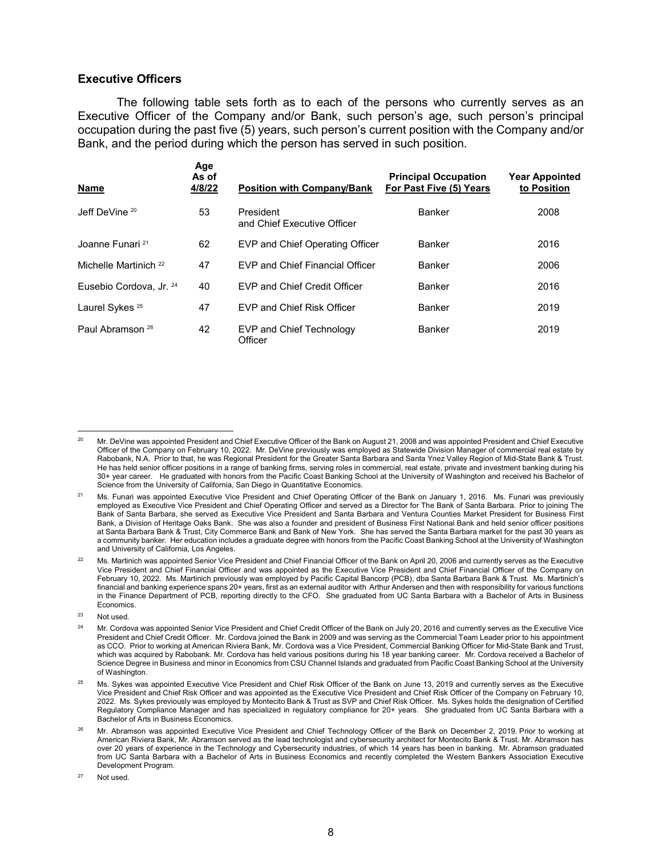#### **Executive Officers**

The following table sets forth as to each of the persons who currently serves as an Executive Officer of the Company and/or Bank, such person's age, such person's principal occupation during the past five (5) years, such person's current position with the Company and/or Bank, and the period during which the person has served in such position.

| <b>Name</b>                      | Age<br>As of<br>4/8/22 | <b>Position with Company/Bank</b>        | <b>Principal Occupation</b><br>For Past Five (5) Years | <b>Year Appointed</b><br>to Position |
|----------------------------------|------------------------|------------------------------------------|--------------------------------------------------------|--------------------------------------|
| Jeff DeVine <sup>20</sup>        | 53                     | President<br>and Chief Executive Officer | Banker                                                 | 2008                                 |
| Joanne Funari <sup>21</sup>      | 62                     | EVP and Chief Operating Officer          | <b>Banker</b>                                          | 2016                                 |
| Michelle Martinich <sup>22</sup> | 47                     | <b>EVP and Chief Financial Officer</b>   | Banker                                                 | 2006                                 |
| Eusebio Cordova, Jr. 24          | 40                     | EVP and Chief Credit Officer             | Banker                                                 | 2016                                 |
| Laurel Sykes <sup>25</sup>       | 47                     | EVP and Chief Risk Officer               | Banker                                                 | 2019                                 |
| Paul Abramson <sup>26</sup>      | 42                     | EVP and Chief Technology<br>Officer      | Banker                                                 | 2019                                 |

<sup>23</sup> Not used.

 <sup>20</sup> Mr. DeVine was appointed President and Chief Executive Officer of the Bank on August 21, 2008 and was appointed President and Chief Executive Officer of the Company on February 10, 2022. Mr. DeVine previously was employed as Statewide Division Manager of commercial real estate by Rabobank, N.A. Prior to that, he was Regional President for the Greater Santa Barbara and Santa Ynez Valley Region of Mid-State Bank & Trust. He has held senior officer positions in a range of banking firms, serving roles in commercial, real estate, private and investment banking during his 30+ year career. He graduated with honors from the Pacific Coast Banking School at the University of Washington and received his Bachelor of Science from the University of California, San Diego in Quantitative Economics.

<sup>21</sup> Ms. Funari was appointed Executive Vice President and Chief Operating Officer of the Bank on January 1, 2016. Ms. Funari was previously employed as Executive Vice President and Chief Operating Officer and served as a Director for The Bank of Santa Barbara. Prior to joining The Bank of Santa Barbara, she served as Executive Vice President and Santa Barbara and Ventura Counties Market President for Business First Bank, a Division of Heritage Oaks Bank. She was also a founder and president of Business First National Bank and held senior officer positions at Santa Barbara Bank & Trust, City Commerce Bank and Bank of New York. She has served the Santa Barbara market for the past 30 years as a community banker. Her education includes a graduate degree with honors from the Pacific Coast Banking School at the University of Washington and University of California, Los Angeles.

<sup>22</sup> Ms. Martinich was appointed Senior Vice President and Chief Financial Officer of the Bank on April 20, 2006 and currently serves as the Executive Vice President and Chief Financial Officer and was appointed as the Executive Vice President and Chief Financial Officer of the Company on February 10, 2022. Ms. Martinich previously was employed by Pacific Capital Bancorp (PCB), dba Santa Barbara Bank & Trust. Ms. Martinich's financial and banking experience spans 20+ years, first as an external auditor with Arthur Andersen and then with responsibility for various functions in the Finance Department of PCB, reporting directly to the CFO. She graduated from UC Santa Barbara with a Bachelor of Arts in Business Economics.

<sup>&</sup>lt;sup>24</sup> Mr. Cordova was appointed Senior Vice President and Chief Credit Officer of the Bank on July 20, 2016 and currently serves as the Executive Vice President and Chief Credit Officer. Mr. Cordova joined the Bank in 2009 and was serving as the Commercial Team Leader prior to his appointment as CCO. Prior to working at American Riviera Bank, Mr. Cordova was a Vice President, Commercial Banking Officer for Mid-State Bank and Trust, which was acquired by Rabobank. Mr. Cordova has held various positions during his 18 year banking career. Mr. Cordova received a Bachelor of Science Degree in Business and minor in Economics from CSU Channel Islands and graduated from Pacific Coast Banking School at the University of Washington.

<sup>&</sup>lt;sup>25</sup> Ms. Sykes was appointed Executive Vice President and Chief Risk Officer of the Bank on June 13, 2019 and currently serves as the Executive Vice President and Chief Risk Officer and was appointed as the Executive Vice President and Chief Risk Officer of the Company on February 10, 2022. Ms. Sykes previously was employed by Montecito Bank & Trust as SVP and Chief Risk Officer. Ms. Sykes holds the designation of Certified Regulatory Compliance Manager and has specialized in regulatory compliance for 20+ years. She graduated from UC Santa Barbara with a Bachelor of Arts in Business Economics.

<sup>26</sup> Mr. Abramson was appointed Executive Vice President and Chief Technology Officer of the Bank on December 2, 2019. Prior to working at American Riviera Bank, Mr. Abramson served as the lead technologist and cybersecurity architect for Montecito Bank & Trust. Mr. Abramson has over 20 years of experience in the Technology and Cybersecurity industries, of which 14 years has been in banking. Mr. Abramson graduated from UC Santa Barbara with a Bachelor of Arts in Business Economics and recently completed the Western Bankers Association Executive Development Program.

<sup>27</sup> Not used.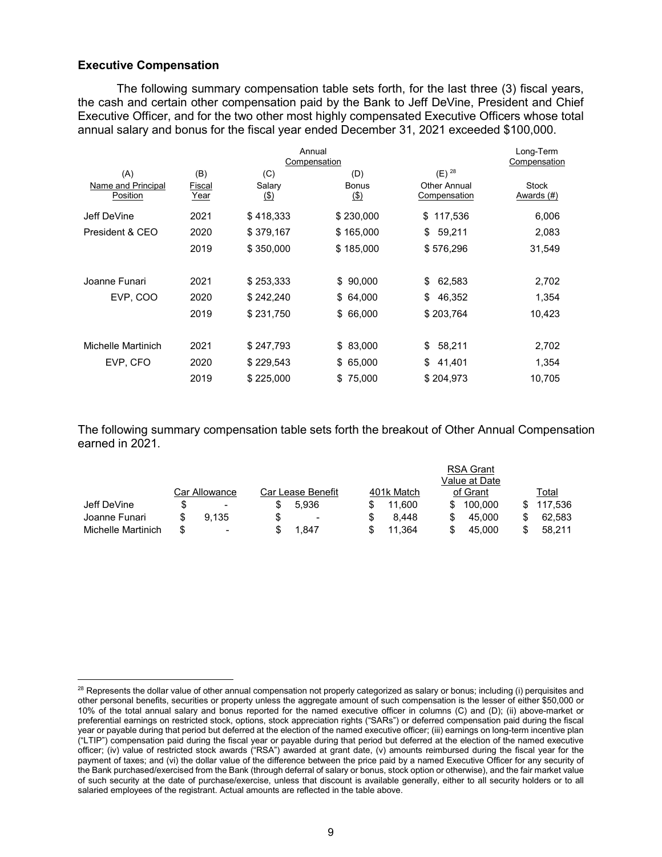## **Executive Compensation**

The following summary compensation table sets forth, for the last three (3) fiscal years, the cash and certain other compensation paid by the Bank to Jeff DeVine, President and Chief Executive Officer, and for the two other most highly compensated Executive Officers whose total annual salary and bonus for the fiscal year ended December 31, 2021 exceeded \$100,000.

| Annual<br>Compensation         |                       |                       |                     |                              | Long-Term<br>Compensation  |
|--------------------------------|-----------------------|-----------------------|---------------------|------------------------------|----------------------------|
| (A)                            | (B)                   | (C)                   | (D)                 | $(E)$ <sup>28</sup>          |                            |
| Name and Principal<br>Position | Fiscal<br><u>Year</u> | Salary<br><u>(\$)</u> | <b>Bonus</b><br>(3) | Other Annual<br>Compensation | <b>Stock</b><br>Awards (#) |
| Jeff DeVine                    | 2021                  | \$418,333             | \$230,000           | 117,536<br>\$                | 6,006                      |
| President & CEO                | 2020                  | \$379,167             | \$165,000           | \$<br>59,211                 | 2,083                      |
|                                | 2019                  | \$350,000             | \$185,000           | \$576,296                    | 31,549                     |
| Joanne Funari                  | 2021                  | \$253,333             | \$90,000            | 62,583<br>\$                 | 2,702                      |
| EVP, COO                       | 2020                  | \$242,240             | \$64,000            | \$<br>46,352                 | 1,354                      |
|                                | 2019                  | \$231,750             | \$ 66,000           | \$203,764                    | 10,423                     |
| Michelle Martinich             | 2021                  | \$247,793             | \$ 83,000           | \$<br>58,211                 | 2,702                      |
| EVP, CFO                       | 2020                  | \$229,543             | \$65,000            | \$<br>41,401                 | 1,354                      |
|                                | 2019                  | \$225,000             | \$75,000            | \$204,973                    | 10,705                     |

The following summary compensation table sets forth the breakout of Other Annual Compensation earned in 2021.

|                    |                          |                          |            | <b>RSA Grant</b> |         |
|--------------------|--------------------------|--------------------------|------------|------------------|---------|
|                    |                          |                          |            | Value at Date    |         |
|                    | Car Allowance            | Car Lease Benefit        | 401k Match | of Grant         | Total   |
| Jeff DeVine        | $\overline{\phantom{0}}$ | 5.936                    | 11.600     | 100.000          | 117.536 |
| Joanne Funari      | 9.135                    | $\overline{\phantom{a}}$ | 8.448      | 45,000           | 62.583  |
| Michelle Martinich | ۰.                       | .847                     | 11.364     | 45.000           | 58.211  |

<sup>&</sup>lt;sup>28</sup> Represents the dollar value of other annual compensation not properly categorized as salary or bonus; including (i) perquisites and other personal benefits, securities or property unless the aggregate amount of such compensation is the lesser of either \$50,000 or 10% of the total annual salary and bonus reported for the named executive officer in columns (C) and (D); (ii) above-market or preferential earnings on restricted stock, options, stock appreciation rights ("SARs") or deferred compensation paid during the fiscal year or payable during that period but deferred at the election of the named executive officer; (iii) earnings on long-term incentive plan ("LTIP") compensation paid during the fiscal year or payable during that period but deferred at the election of the named executive officer; (iv) value of restricted stock awards ("RSA") awarded at grant date, (v) amounts reimbursed during the fiscal year for the payment of taxes; and (vi) the dollar value of the difference between the price paid by a named Executive Officer for any security of the Bank purchased/exercised from the Bank (through deferral of salary or bonus, stock option or otherwise), and the fair market value of such security at the date of purchase/exercise, unless that discount is available generally, either to all security holders or to all salaried employees of the registrant. Actual amounts are reflected in the table above.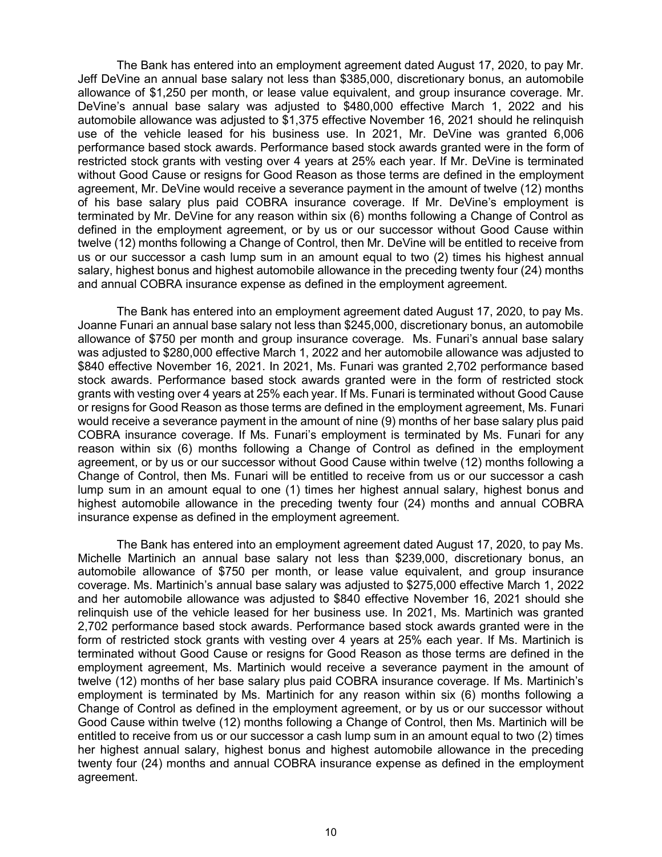The Bank has entered into an employment agreement dated August 17, 2020, to pay Mr. Jeff DeVine an annual base salary not less than \$385,000, discretionary bonus, an automobile allowance of \$1,250 per month, or lease value equivalent, and group insurance coverage. Mr. DeVine's annual base salary was adjusted to \$480,000 effective March 1, 2022 and his automobile allowance was adjusted to \$1,375 effective November 16, 2021 should he relinquish use of the vehicle leased for his business use. In 2021, Mr. DeVine was granted 6,006 performance based stock awards. Performance based stock awards granted were in the form of restricted stock grants with vesting over 4 years at 25% each year. If Mr. DeVine is terminated without Good Cause or resigns for Good Reason as those terms are defined in the employment agreement, Mr. DeVine would receive a severance payment in the amount of twelve (12) months of his base salary plus paid COBRA insurance coverage. If Mr. DeVine's employment is terminated by Mr. DeVine for any reason within six (6) months following a Change of Control as defined in the employment agreement, or by us or our successor without Good Cause within twelve (12) months following a Change of Control, then Mr. DeVine will be entitled to receive from us or our successor a cash lump sum in an amount equal to two (2) times his highest annual salary, highest bonus and highest automobile allowance in the preceding twenty four (24) months and annual COBRA insurance expense as defined in the employment agreement.

The Bank has entered into an employment agreement dated August 17, 2020, to pay Ms. Joanne Funari an annual base salary not less than \$245,000, discretionary bonus, an automobile allowance of \$750 per month and group insurance coverage. Ms. Funari's annual base salary was adjusted to \$280,000 effective March 1, 2022 and her automobile allowance was adjusted to \$840 effective November 16, 2021. In 2021, Ms. Funari was granted 2,702 performance based stock awards. Performance based stock awards granted were in the form of restricted stock grants with vesting over 4 years at 25% each year. If Ms. Funari is terminated without Good Cause or resigns for Good Reason as those terms are defined in the employment agreement, Ms. Funari would receive a severance payment in the amount of nine (9) months of her base salary plus paid COBRA insurance coverage. If Ms. Funari's employment is terminated by Ms. Funari for any reason within six (6) months following a Change of Control as defined in the employment agreement, or by us or our successor without Good Cause within twelve (12) months following a Change of Control, then Ms. Funari will be entitled to receive from us or our successor a cash lump sum in an amount equal to one (1) times her highest annual salary, highest bonus and highest automobile allowance in the preceding twenty four (24) months and annual COBRA insurance expense as defined in the employment agreement.

The Bank has entered into an employment agreement dated August 17, 2020, to pay Ms. Michelle Martinich an annual base salary not less than \$239,000, discretionary bonus, an automobile allowance of \$750 per month, or lease value equivalent, and group insurance coverage. Ms. Martinich's annual base salary was adjusted to \$275,000 effective March 1, 2022 and her automobile allowance was adjusted to \$840 effective November 16, 2021 should she relinquish use of the vehicle leased for her business use. In 2021, Ms. Martinich was granted 2,702 performance based stock awards. Performance based stock awards granted were in the form of restricted stock grants with vesting over 4 years at 25% each year. If Ms. Martinich is terminated without Good Cause or resigns for Good Reason as those terms are defined in the employment agreement, Ms. Martinich would receive a severance payment in the amount of twelve (12) months of her base salary plus paid COBRA insurance coverage. If Ms. Martinich's employment is terminated by Ms. Martinich for any reason within six (6) months following a Change of Control as defined in the employment agreement, or by us or our successor without Good Cause within twelve (12) months following a Change of Control, then Ms. Martinich will be entitled to receive from us or our successor a cash lump sum in an amount equal to two (2) times her highest annual salary, highest bonus and highest automobile allowance in the preceding twenty four (24) months and annual COBRA insurance expense as defined in the employment agreement.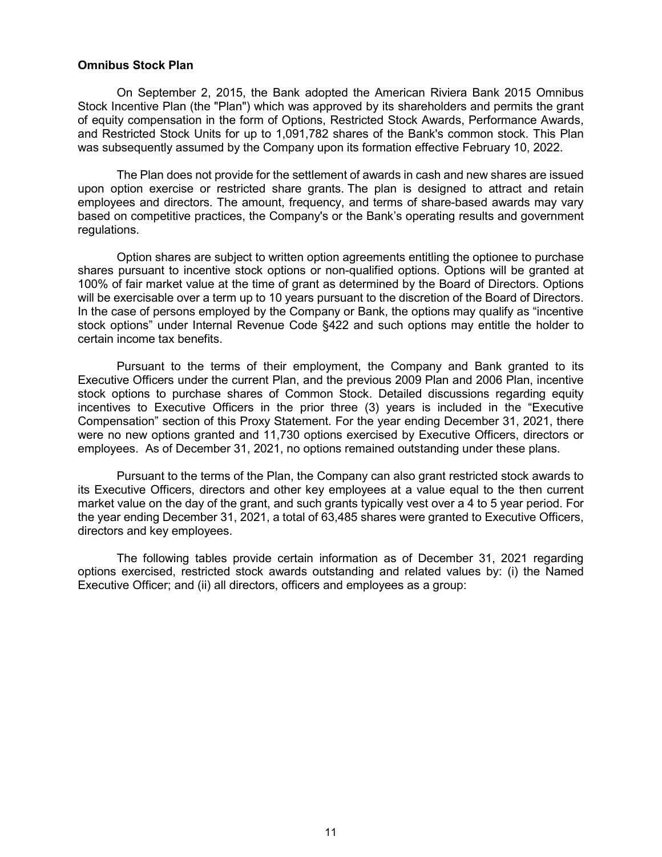### **Omnibus Stock Plan**

On September 2, 2015, the Bank adopted the American Riviera Bank 2015 Omnibus Stock Incentive Plan (the "Plan") which was approved by its shareholders and permits the grant of equity compensation in the form of Options, Restricted Stock Awards, Performance Awards, and Restricted Stock Units for up to 1,091,782 shares of the Bank's common stock. This Plan was subsequently assumed by the Company upon its formation effective February 10, 2022.

The Plan does not provide for the settlement of awards in cash and new shares are issued upon option exercise or restricted share grants. The plan is designed to attract and retain employees and directors. The amount, frequency, and terms of share-based awards may vary based on competitive practices, the Company's or the Bank's operating results and government regulations.

Option shares are subject to written option agreements entitling the optionee to purchase shares pursuant to incentive stock options or non-qualified options. Options will be granted at 100% of fair market value at the time of grant as determined by the Board of Directors. Options will be exercisable over a term up to 10 years pursuant to the discretion of the Board of Directors. In the case of persons employed by the Company or Bank, the options may qualify as "incentive stock options" under Internal Revenue Code §422 and such options may entitle the holder to certain income tax benefits.

Pursuant to the terms of their employment, the Company and Bank granted to its Executive Officers under the current Plan, and the previous 2009 Plan and 2006 Plan, incentive stock options to purchase shares of Common Stock. Detailed discussions regarding equity incentives to Executive Officers in the prior three (3) years is included in the "Executive Compensation" section of this Proxy Statement. For the year ending December 31, 2021, there were no new options granted and 11,730 options exercised by Executive Officers, directors or employees. As of December 31, 2021, no options remained outstanding under these plans.

Pursuant to the terms of the Plan, the Company can also grant restricted stock awards to its Executive Officers, directors and other key employees at a value equal to the then current market value on the day of the grant, and such grants typically vest over a 4 to 5 year period. For the year ending December 31, 2021, a total of 63,485 shares were granted to Executive Officers, directors and key employees.

The following tables provide certain information as of December 31, 2021 regarding options exercised, restricted stock awards outstanding and related values by: (i) the Named Executive Officer; and (ii) all directors, officers and employees as a group: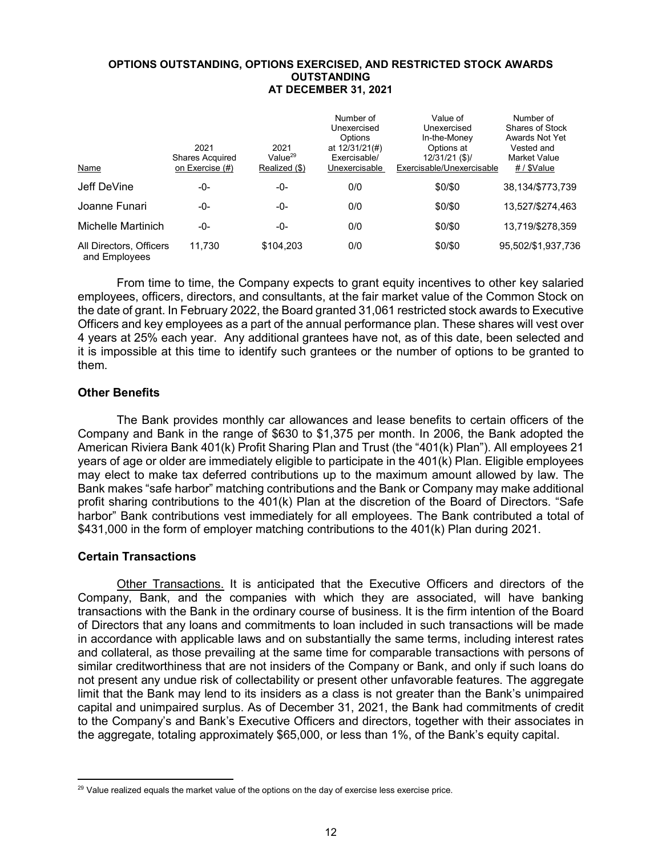#### **OPTIONS OUTSTANDING, OPTIONS EXERCISED, AND RESTRICTED STOCK AWARDS OUTSTANDING AT DECEMBER 31, 2021**

| Name                                     | 2021<br>Shares Acquired<br>on Exercise (#) | 2021<br>Value $^{29}$<br>Realized (\$) | Number of<br>Unexercised<br>Options<br>at 12/31/21(#)<br>Exercisable/<br>Unexercisable | Value of<br>Unexercised<br>In-the-Money<br>Options at<br>$12/31/21$ (\$)/<br>Exercisable/Unexercisable | Number of<br><b>Shares of Stock</b><br>Awards Not Yet<br>Vested and<br>Market Value<br># / \$Value |
|------------------------------------------|--------------------------------------------|----------------------------------------|----------------------------------------------------------------------------------------|--------------------------------------------------------------------------------------------------------|----------------------------------------------------------------------------------------------------|
| Jeff DeVine                              | -0-                                        | -0-                                    | 0/0                                                                                    | \$0/\$0                                                                                                | 38,134/\$773,739                                                                                   |
| Joanne Funari                            | -0-                                        | -0-                                    | 0/0                                                                                    | \$0/\$0                                                                                                | 13,527/\$274,463                                                                                   |
| Michelle Martinich                       | -0-                                        | -0-                                    | 0/0                                                                                    | \$0/\$0                                                                                                | 13,719/\$278,359                                                                                   |
| All Directors, Officers<br>and Employees | 11.730                                     | \$104,203                              | 0/0                                                                                    | \$0/\$0                                                                                                | 95,502/\$1,937,736                                                                                 |

From time to time, the Company expects to grant equity incentives to other key salaried employees, officers, directors, and consultants, at the fair market value of the Common Stock on the date of grant. In February 2022, the Board granted 31,061 restricted stock awards to Executive Officers and key employees as a part of the annual performance plan. These shares will vest over 4 years at 25% each year. Any additional grantees have not, as of this date, been selected and it is impossible at this time to identify such grantees or the number of options to be granted to them.

# **Other Benefits**

The Bank provides monthly car allowances and lease benefits to certain officers of the Company and Bank in the range of \$630 to \$1,375 per month. In 2006, the Bank adopted the American Riviera Bank 401(k) Profit Sharing Plan and Trust (the "401(k) Plan"). All employees 21 years of age or older are immediately eligible to participate in the 401(k) Plan. Eligible employees may elect to make tax deferred contributions up to the maximum amount allowed by law. The Bank makes "safe harbor" matching contributions and the Bank or Company may make additional profit sharing contributions to the 401(k) Plan at the discretion of the Board of Directors. "Safe harbor" Bank contributions vest immediately for all employees. The Bank contributed a total of \$431,000 in the form of employer matching contributions to the 401(k) Plan during 2021.

# **Certain Transactions**

Other Transactions. It is anticipated that the Executive Officers and directors of the Company, Bank, and the companies with which they are associated, will have banking transactions with the Bank in the ordinary course of business. It is the firm intention of the Board of Directors that any loans and commitments to loan included in such transactions will be made in accordance with applicable laws and on substantially the same terms, including interest rates and collateral, as those prevailing at the same time for comparable transactions with persons of similar creditworthiness that are not insiders of the Company or Bank, and only if such loans do not present any undue risk of collectability or present other unfavorable features. The aggregate limit that the Bank may lend to its insiders as a class is not greater than the Bank's unimpaired capital and unimpaired surplus. As of December 31, 2021, the Bank had commitments of credit to the Company's and Bank's Executive Officers and directors, together with their associates in the aggregate, totaling approximately \$65,000, or less than 1%, of the Bank's equity capital.

<sup>&</sup>lt;sup>29</sup> Value realized equals the market value of the options on the day of exercise less exercise price.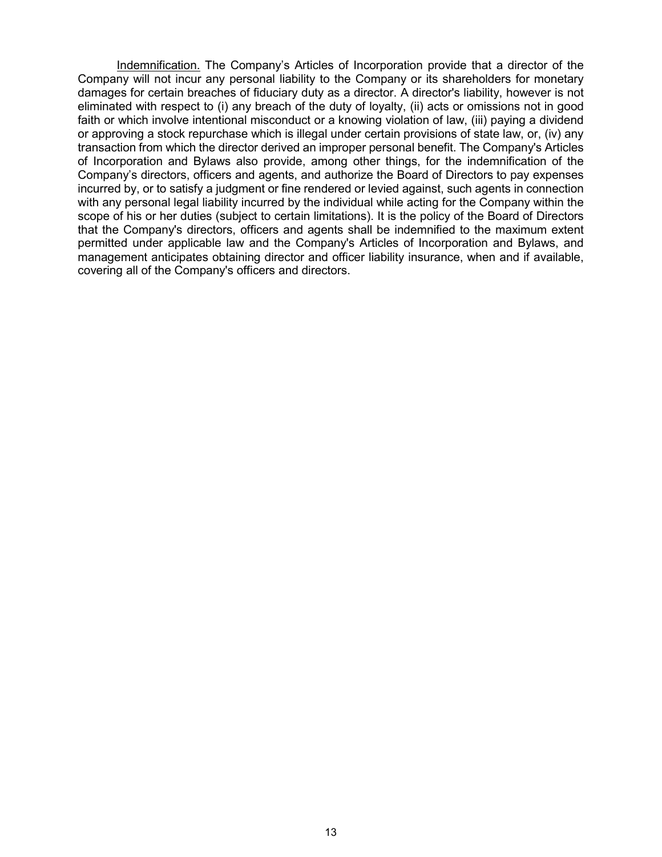Indemnification. The Company's Articles of Incorporation provide that a director of the Company will not incur any personal liability to the Company or its shareholders for monetary damages for certain breaches of fiduciary duty as a director. A director's liability, however is not eliminated with respect to (i) any breach of the duty of loyalty, (ii) acts or omissions not in good faith or which involve intentional misconduct or a knowing violation of law, (iii) paying a dividend or approving a stock repurchase which is illegal under certain provisions of state law, or, (iv) any transaction from which the director derived an improper personal benefit. The Company's Articles of Incorporation and Bylaws also provide, among other things, for the indemnification of the Company's directors, officers and agents, and authorize the Board of Directors to pay expenses incurred by, or to satisfy a judgment or fine rendered or levied against, such agents in connection with any personal legal liability incurred by the individual while acting for the Company within the scope of his or her duties (subject to certain limitations). It is the policy of the Board of Directors that the Company's directors, officers and agents shall be indemnified to the maximum extent permitted under applicable law and the Company's Articles of Incorporation and Bylaws, and management anticipates obtaining director and officer liability insurance, when and if available, covering all of the Company's officers and directors.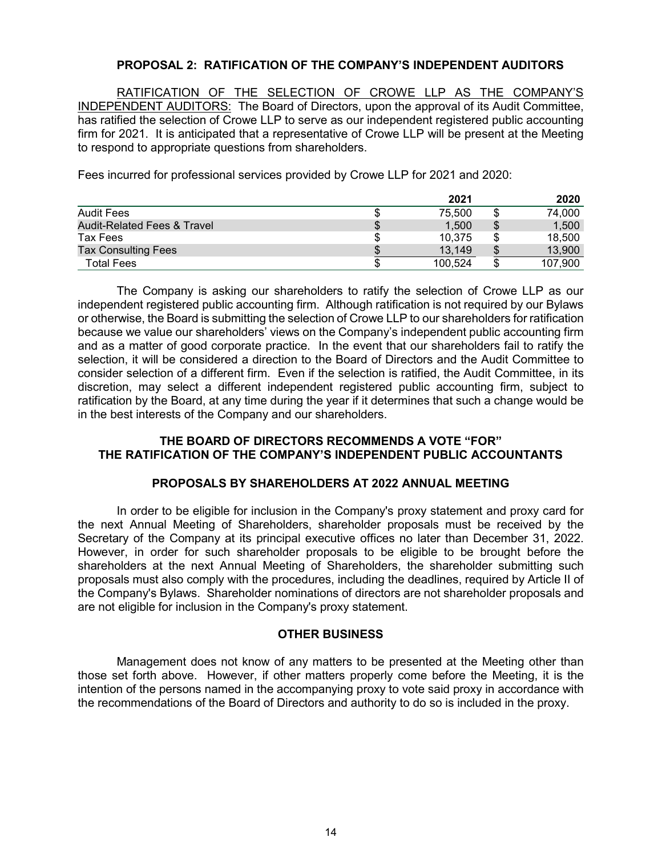# **PROPOSAL 2: RATIFICATION OF THE COMPANY'S INDEPENDENT AUDITORS**

RATIFICATION OF THE SELECTION OF CROWE LLP AS THE COMPANY'S INDEPENDENT AUDITORS: The Board of Directors, upon the approval of its Audit Committee, has ratified the selection of Crowe LLP to serve as our independent registered public accounting firm for 2021. It is anticipated that a representative of Crowe LLP will be present at the Meeting to respond to appropriate questions from shareholders.

Fees incurred for professional services provided by Crowe LLP for 2021 and 2020:

|                                        |    | 2021    |    | 2020    |
|----------------------------------------|----|---------|----|---------|
| <b>Audit Fees</b>                      | Φ  | 75.500  | \$ | 74,000  |
| <b>Audit-Related Fees &amp; Travel</b> | \$ | 1.500   | \$ | 1,500   |
| Tax Fees                               | \$ | 10.375  | S  | 18,500  |
| <b>Tax Consulting Fees</b>             | S  | 13.149  | \$ | 13.900  |
| Total Fees                             |    | 100.524 |    | 107,900 |

The Company is asking our shareholders to ratify the selection of Crowe LLP as our independent registered public accounting firm. Although ratification is not required by our Bylaws or otherwise, the Board is submitting the selection of Crowe LLP to our shareholders for ratification because we value our shareholders' views on the Company's independent public accounting firm and as a matter of good corporate practice. In the event that our shareholders fail to ratify the selection, it will be considered a direction to the Board of Directors and the Audit Committee to consider selection of a different firm. Even if the selection is ratified, the Audit Committee, in its discretion, may select a different independent registered public accounting firm, subject to ratification by the Board, at any time during the year if it determines that such a change would be in the best interests of the Company and our shareholders.

# **THE BOARD OF DIRECTORS RECOMMENDS A VOTE "FOR" THE RATIFICATION OF THE COMPANY'S INDEPENDENT PUBLIC ACCOUNTANTS**

## **PROPOSALS BY SHAREHOLDERS AT 2022 ANNUAL MEETING**

In order to be eligible for inclusion in the Company's proxy statement and proxy card for the next Annual Meeting of Shareholders, shareholder proposals must be received by the Secretary of the Company at its principal executive offices no later than December 31, 2022. However, in order for such shareholder proposals to be eligible to be brought before the shareholders at the next Annual Meeting of Shareholders, the shareholder submitting such proposals must also comply with the procedures, including the deadlines, required by Article II of the Company's Bylaws. Shareholder nominations of directors are not shareholder proposals and are not eligible for inclusion in the Company's proxy statement.

## **OTHER BUSINESS**

Management does not know of any matters to be presented at the Meeting other than those set forth above. However, if other matters properly come before the Meeting, it is the intention of the persons named in the accompanying proxy to vote said proxy in accordance with the recommendations of the Board of Directors and authority to do so is included in the proxy.